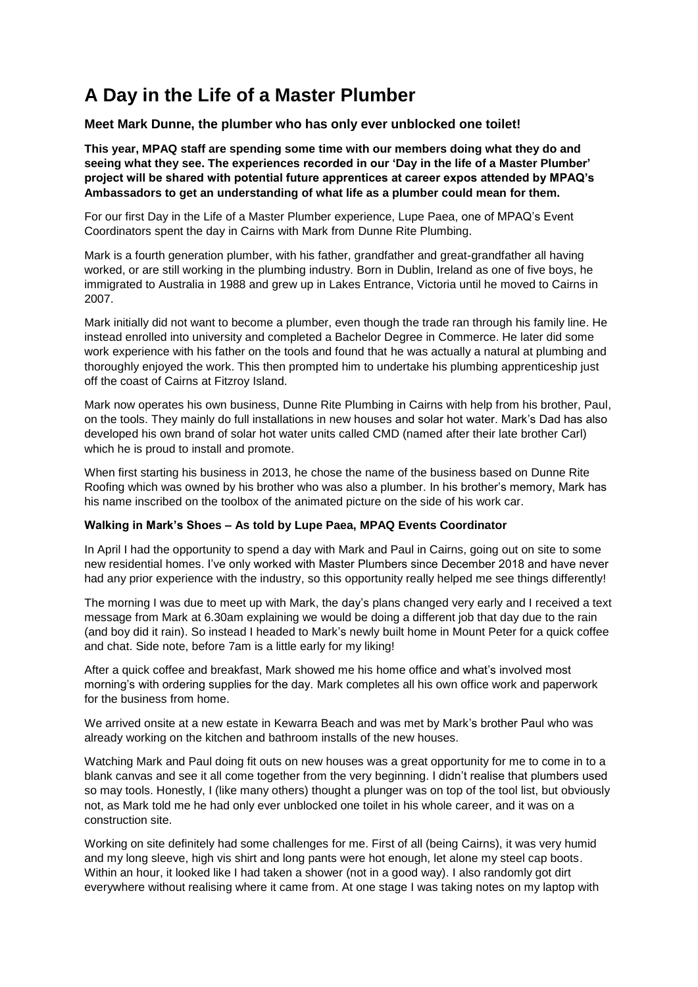## **A Day in the Life of a Master Plumber**

## **Meet Mark Dunne, the plumber who has only ever unblocked one toilet!**

**This year, MPAQ staff are spending some time with our members doing what they do and seeing what they see. The experiences recorded in our 'Day in the life of a Master Plumber' project will be shared with potential future apprentices at career expos attended by MPAQ's Ambassadors to get an understanding of what life as a plumber could mean for them.** 

For our first Day in the Life of a Master Plumber experience, Lupe Paea, one of MPAQ's Event Coordinators spent the day in Cairns with Mark from Dunne Rite Plumbing.

Mark is a fourth generation plumber, with his father, grandfather and great-grandfather all having worked, or are still working in the plumbing industry. Born in Dublin, Ireland as one of five boys, he immigrated to Australia in 1988 and grew up in Lakes Entrance, Victoria until he moved to Cairns in 2007.

Mark initially did not want to become a plumber, even though the trade ran through his family line. He instead enrolled into university and completed a Bachelor Degree in Commerce. He later did some work experience with his father on the tools and found that he was actually a natural at plumbing and thoroughly enjoyed the work. This then prompted him to undertake his plumbing apprenticeship just off the coast of Cairns at Fitzroy Island.

Mark now operates his own business, Dunne Rite Plumbing in Cairns with help from his brother, Paul, on the tools. They mainly do full installations in new houses and solar hot water. Mark's Dad has also developed his own brand of solar hot water units called CMD (named after their late brother Carl) which he is proud to install and promote.

When first starting his business in 2013, he chose the name of the business based on Dunne Rite Roofing which was owned by his brother who was also a plumber. In his brother's memory, Mark has his name inscribed on the toolbox of the animated picture on the side of his work car.

## **Walking in Mark's Shoes – As told by Lupe Paea, MPAQ Events Coordinator**

In April I had the opportunity to spend a day with Mark and Paul in Cairns, going out on site to some new residential homes. I've only worked with Master Plumbers since December 2018 and have never had any prior experience with the industry, so this opportunity really helped me see things differently!

The morning I was due to meet up with Mark, the day's plans changed very early and I received a text message from Mark at 6.30am explaining we would be doing a different job that day due to the rain (and boy did it rain). So instead I headed to Mark's newly built home in Mount Peter for a quick coffee and chat. Side note, before 7am is a little early for my liking!

After a quick coffee and breakfast, Mark showed me his home office and what's involved most morning's with ordering supplies for the day. Mark completes all his own office work and paperwork for the business from home.

We arrived onsite at a new estate in Kewarra Beach and was met by Mark's brother Paul who was already working on the kitchen and bathroom installs of the new houses.

Watching Mark and Paul doing fit outs on new houses was a great opportunity for me to come in to a blank canvas and see it all come together from the very beginning. I didn't realise that plumbers used so may tools. Honestly, I (like many others) thought a plunger was on top of the tool list, but obviously not, as Mark told me he had only ever unblocked one toilet in his whole career, and it was on a construction site.

Working on site definitely had some challenges for me. First of all (being Cairns), it was very humid and my long sleeve, high vis shirt and long pants were hot enough, let alone my steel cap boots. Within an hour, it looked like I had taken a shower (not in a good way). I also randomly got dirt everywhere without realising where it came from. At one stage I was taking notes on my laptop with